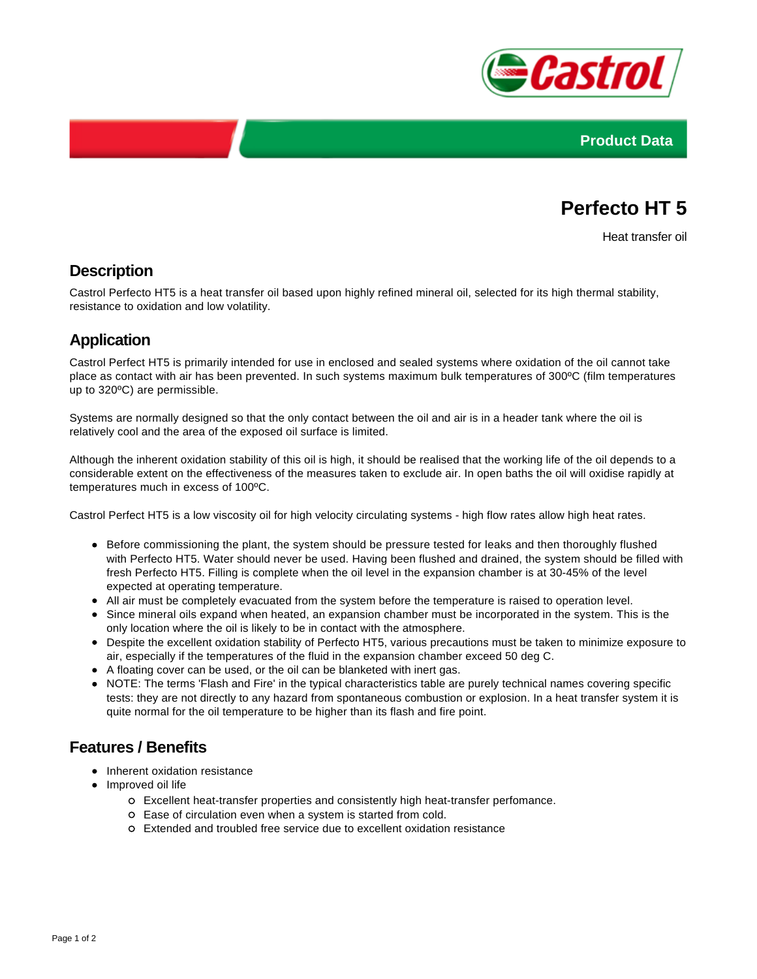



# **Perfecto HT 5**

Heat transfer oil

#### **Description**

Castrol Perfecto HT5 is a heat transfer oil based upon highly refined mineral oil, selected for its high thermal stability, resistance to oxidation and low volatility.

#### **Application**

Castrol Perfect HT5 is primarily intended for use in enclosed and sealed systems where oxidation of the oil cannot take place as contact with air has been prevented. In such systems maximum bulk temperatures of 300ºC (film temperatures up to 320ºC) are permissible.

Systems are normally designed so that the only contact between the oil and air is in a header tank where the oil is relatively cool and the area of the exposed oil surface is limited.

Although the inherent oxidation stability of this oil is high, it should be realised that the working life of the oil depends to a considerable extent on the effectiveness of the measures taken to exclude air. In open baths the oil will oxidise rapidly at temperatures much in excess of 100ºC.

Castrol Perfect HT5 is a low viscosity oil for high velocity circulating systems - high flow rates allow high heat rates.

- Before commissioning the plant, the system should be pressure tested for leaks and then thoroughly flushed with Perfecto HT5. Water should never be used. Having been flushed and drained, the system should be filled with fresh Perfecto HT5. Filling is complete when the oil level in the expansion chamber is at 30-45% of the level expected at operating temperature.
- All air must be completely evacuated from the system before the temperature is raised to operation level.
- Since mineral oils expand when heated, an expansion chamber must be incorporated in the system. This is the only location where the oil is likely to be in contact with the atmosphere.
- Despite the excellent oxidation stability of Perfecto HT5, various precautions must be taken to minimize exposure to air, especially if the temperatures of the fluid in the expansion chamber exceed 50 deg C.
- A floating cover can be used, or the oil can be blanketed with inert gas.
- NOTE: The terms 'Flash and Fire' in the typical characteristics table are purely technical names covering specific tests: they are not directly to any hazard from spontaneous combustion or explosion. In a heat transfer system it is quite normal for the oil temperature to be higher than its flash and fire point.

#### **Features / Benefits**

- Inherent oxidation resistance
- Improved oil life
	- Excellent heat-transfer properties and consistently high heat-transfer perfomance.
	- Ease of circulation even when a system is started from cold.
	- Extended and troubled free service due to excellent oxidation resistance